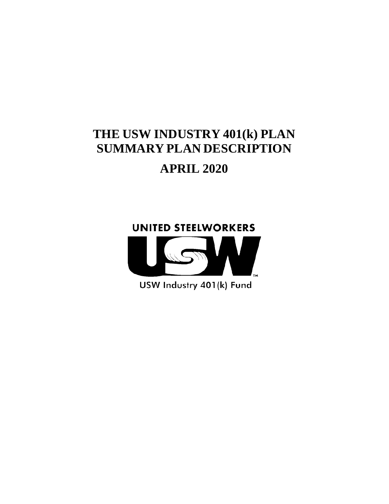# **THE USW INDUSTRY 401(k) PLAN SUMMARY PLAN DESCRIPTION APRIL 2020**





USW Industry 401(k) Fund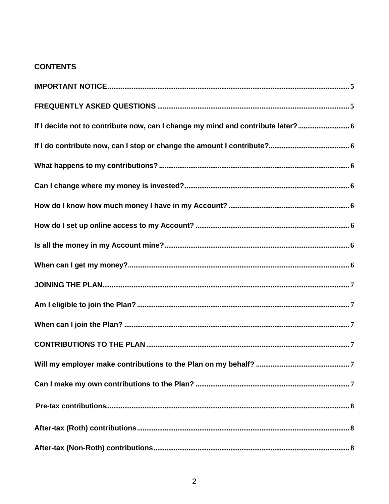## **CONTENTS**

| If I decide not to contribute now, can I change my mind and contribute later? 6 |
|---------------------------------------------------------------------------------|
|                                                                                 |
|                                                                                 |
|                                                                                 |
|                                                                                 |
|                                                                                 |
|                                                                                 |
|                                                                                 |
|                                                                                 |
|                                                                                 |
|                                                                                 |
|                                                                                 |
|                                                                                 |
|                                                                                 |
|                                                                                 |
|                                                                                 |
|                                                                                 |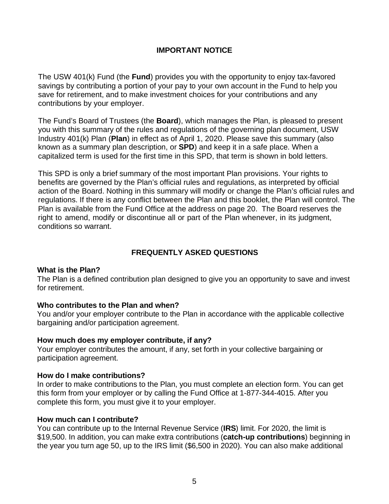## **IMPORTANT NOTICE**

<span id="page-4-0"></span>The USW 401(k) Fund (the **Fund**) provides you with the opportunity to enjoy tax-favored savings by contributing a portion of your pay to your own account in the Fund to help you save for retirement, and to make investment choices for your contributions and any contributions by your employer.

The Fund's Board of Trustees (the **Board**), which manages the Plan, is pleased to present you with this summary of the rules and regulations of the governing plan document, USW Industry 401(k) Plan (**Plan**) in effect as of April 1, 2020. Please save this summary (also known as a summary plan description, or **SPD**) and keep it in a safe place. When a capitalized term is used for the first time in this SPD, that term is shown in bold letters.

This SPD is only a brief summary of the most important Plan provisions. Your rights to benefits are governed by the Plan's official rules and regulations, as interpreted by official action of the Board. Nothing in this summary will modify or change the Plan's official rules and regulations. If there is any conflict between the Plan and this booklet, the Plan will control. The Plan is available from the Fund Office at the address on page 20. The Board reserves the right to amend, modify or discontinue all or part of the Plan whenever, in its judgment, conditions so warrant.

## **FREQUENTLY ASKED QUESTIONS**

#### <span id="page-4-1"></span>**What is the Plan?**

The Plan is a defined contribution plan designed to give you an opportunity to save and invest for retirement.

#### **Who contributes to the Plan and when?**

You and/or your employer contribute to the Plan in accordance with the applicable collective bargaining and/or participation agreement.

#### **How much does my employer contribute, if any?**

Your employer contributes the amount, if any, set forth in your collective bargaining or participation agreement.

## **How do I make contributions?**

In order to make contributions to the Plan, you must complete an election form. You can get this form from your employer or by calling the Fund Office at 1-877-344-4015. After you complete this form, you must give it to your employer.

#### **How much can I contribute?**

You can contribute up to the Internal Revenue Service (**IRS**) limit. For 2020, the limit is \$19,500. In addition, you can make extra contributions (**catch-up contributions**) beginning in the year you turn age 50, up to the IRS limit (\$6,500 in 2020). You can also make additional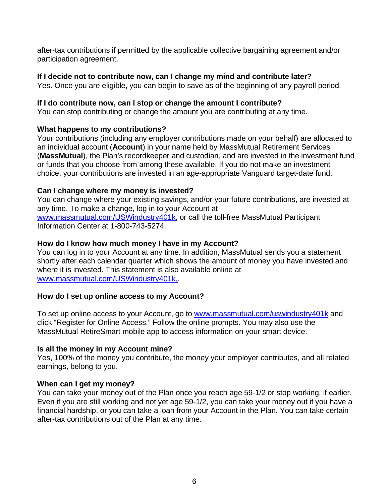after-tax contributions if permitted by the applicable collective bargaining agreement and/or participation agreement.

## <span id="page-5-0"></span>**If I decide not to contribute now, can I change my mind and contribute later?**

Yes. Once you are eligible, you can begin to save as of the beginning of any payroll period.

## <span id="page-5-1"></span>**If I do contribute now, can I stop or change the amount I contribute?**

You can stop contributing or change the amount you are contributing at any time.

## <span id="page-5-2"></span>**What happens to my contributions?**

Your contributions (including any employer contributions made on your behalf) are allocated to an individual account (**Account**) in your name held by MassMutual Retirement Services (**MassMutual**), the Plan's recordkeeper and custodian, and are invested in the investment fund or funds that you choose from among these available. If you do not make an investment choice, your contributions are invested in an age-appropriate Vanguard target-date fund.

## <span id="page-5-3"></span>**Can I change where my money is invested?**

You can change where your existing savings, and/or your future contributions, are invested at any time. To make a change, log in to your Account at [www.massmutual.com/USWindustry401k,](http://www.massmutual.com/USWindustry401k) or call the toll-free MassMutual Participant Information Center at 1-800-743-5274.

## <span id="page-5-4"></span>**How do I know how much money I have in my Account?**

You can log in to your Account at any time. In addition, MassMutual sends you a statement shortly after each calendar quarter which shows the amount of money you have invested and where it is invested. This statement is also available online at [www.massmutual.com/USWindustry401k,.](http://www.massmutual.com/USWindustry401k,)

## <span id="page-5-5"></span>**How do I set up online access to my Account?**

To set up online access to your Account, go to [www.massmutual.com/uswindustry401k](http://www.massmutual.com/uswindustry401k) and click "Register for Online Access." Follow the online prompts. You may also use the MassMutual RetireSmart mobile app to access information on your smart device.

## <span id="page-5-6"></span>**Is all the money in my Account mine?**

Yes, 100% of the money you contribute, the money your employer contributes, and all related earnings, belong to you.

## <span id="page-5-7"></span>**When can I get my money?**

<span id="page-5-8"></span>You can take your money out of the Plan once you reach age 59-1/2 or stop working, if earlier. Even if you are still working and not yet age 59-1/2, you can take your money out if you have a financial hardship, or you can take a loan from your Account in the Plan. You can take certain after-tax contributions out of the Plan at any time.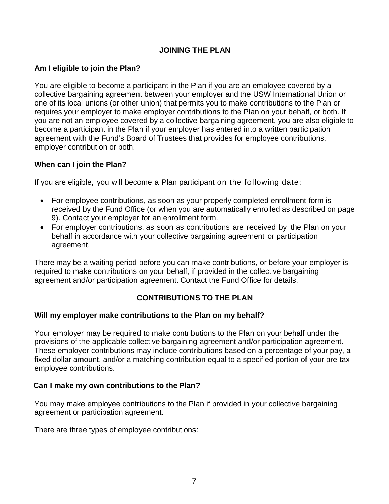## **JOINING THE PLAN**

## <span id="page-6-0"></span>**Am I eligible to join the Plan?**

You are eligible to become a participant in the Plan if you are an employee covered by a collective bargaining agreement between your employer and the USW International Union or one of its local unions (or other union) that permits you to make contributions to the Plan or requires your employer to make employer contributions to the Plan on your behalf, or both. If you are not an employee covered by a collective bargaining agreement, you are also eligible to become a participant in the Plan if your employer has entered into a written participation agreement with the Fund's Board of Trustees that provides for employee contributions, employer contribution or both.

### <span id="page-6-1"></span>**When can I join the Plan?**

If you are eligible, you will become a Plan participant on the following date:

- For employee contributions, as soon as your properly completed enrollment form is received by the Fund Office (or when you are automatically enrolled as described on page 9). Contact your employer for an enrollment form.
- For employer contributions, as soon as contributions are received by the Plan on your behalf in accordance with your collective bargaining agreement or participation agreement.

There may be a waiting period before you can make contributions, or before your employer is required to make contributions on your behalf, if provided in the collective bargaining agreement and/or participation agreement. Contact the Fund Office for details.

## **CONTRIBUTIONS TO THE PLAN**

#### <span id="page-6-3"></span><span id="page-6-2"></span>**Will my employer make contributions to the Plan on my behalf?**

Your employer may be required to make contributions to the Plan on your behalf under the provisions of the applicable collective bargaining agreement and/or participation agreement. These employer contributions may include contributions based on a percentage of your pay, a fixed dollar amount, and/or a matching contribution equal to a specified portion of your pre-tax employee contributions.

#### <span id="page-6-4"></span>**Can I make my own contributions to the Plan?**

You may make employee contributions to the Plan if provided in your collective bargaining agreement or participation agreement.

<span id="page-6-5"></span>There are three types of employee contributions: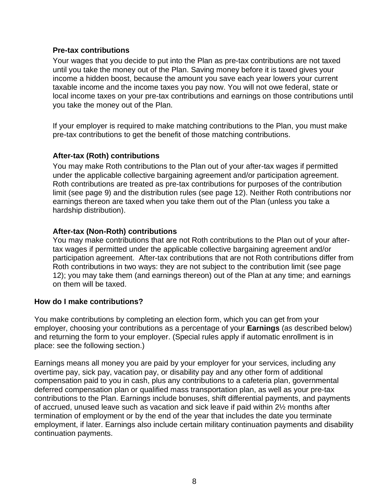#### **Pre-tax contributions**

Your wages that you decide to put into the Plan as pre-tax contributions are not taxed until you take the money out of the Plan. Saving money before it is taxed gives your income a hidden boost, because the amount you save each year lowers your current taxable income and the income taxes you pay now. You will not owe federal, state or local income taxes on your pre-tax contributions and earnings on those contributions until you take the money out of the Plan.

If your employer is required to make matching contributions to the Plan, you must make pre-tax contributions to get the benefit of those matching contributions.

## <span id="page-7-0"></span>**After-tax (Roth) contributions**

You may make Roth contributions to the Plan out of your after-tax wages if permitted under the applicable collective bargaining agreement and/or participation agreement. Roth contributions are treated as pre-tax contributions for purposes of the contribution limit (see page 9) and the distribution rules (see page 12). Neither Roth contributions nor earnings thereon are taxed when you take them out of the Plan (unless you take a hardship distribution).

### <span id="page-7-1"></span>**After-tax (Non-Roth) contributions**

You may make contributions that are not Roth contributions to the Plan out of your aftertax wages if permitted under the applicable collective bargaining agreement and/or participation agreement. After-tax contributions that are not Roth contributions differ from Roth contributions in two ways: they are not subject to the contribution limit (see page 12); you may take them (and earnings thereon) out of the Plan at any time; and earnings on them will be taxed.

#### <span id="page-7-2"></span>**How do I make contributions?**

You make contributions by completing an election form, which you can get from your employer, choosing your contributions as a percentage of your **Earnings** (as described below) and returning the form to your employer. (Special rules apply if automatic enrollment is in place: see the following section.)

<span id="page-7-3"></span>Earnings means all money you are paid by your employer for your services, including any overtime pay, sick pay, vacation pay, or disability pay and any other form of additional compensation paid to you in cash, plus any contributions to a cafeteria plan, governmental deferred compensation plan or qualified mass transportation plan, as well as your pre-tax contributions to the Plan. Earnings include bonuses, shift differential payments, and payments of accrued, unused leave such as vacation and sick leave if paid within 2½ months after termination of employment or by the end of the year that includes the date you terminate employment, if later. Earnings also include certain military continuation payments and disability continuation payments.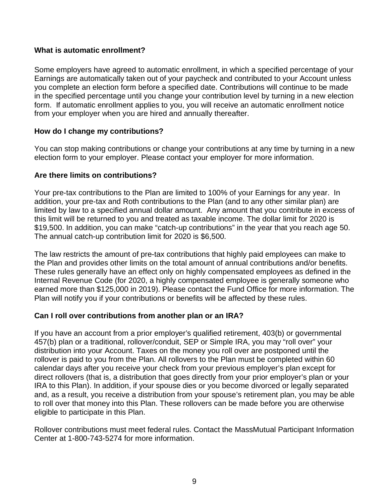#### **What is automatic enrollment?**

Some employers have agreed to automatic enrollment, in which a specified percentage of your Earnings are automatically taken out of your paycheck and contributed to your Account unless you complete an election form before a specified date. Contributions will continue to be made in the specified percentage until you change your contribution level by turning in a new election form. If automatic enrollment applies to you, you will receive an automatic enrollment notice from your employer when you are hired and annually thereafter.

### <span id="page-8-0"></span>**How do I change my contributions?**

You can stop making contributions or change your contributions at any time by turning in a new election form to your employer. Please contact your employer for more information.

## <span id="page-8-1"></span>**Are there limits on contributions?**

Your pre-tax contributions to the Plan are limited to 100% of your Earnings for any year. In addition, your pre-tax and Roth contributions to the Plan (and to any other similar plan) are limited by law to a specified annual dollar amount. Any amount that you contribute in excess of this limit will be returned to you and treated as taxable income. The dollar limit for 2020 is \$19,500. In addition, you can make "catch-up contributions" in the year that you reach age 50. The annual catch-up contribution limit for 2020 is \$6,500.

The law restricts the amount of pre-tax contributions that highly paid employees can make to the Plan and provides other limits on the total amount of annual contributions and/or benefits. These rules generally have an effect only on highly compensated employees as defined in the Internal Revenue Code (for 2020, a highly compensated employee is generally someone who earned more than \$125,000 in 2019). Please contact the Fund Office for more information. The Plan will notify you if your contributions or benefits will be affected by these rules.

#### <span id="page-8-2"></span>**Can I roll over contributions from another plan or an IRA?**

If you have an account from a prior employer's qualified retirement, 403(b) or governmental 457(b) plan or a traditional, rollover/conduit, SEP or Simple IRA, you may "roll over" your distribution into your Account. Taxes on the money you roll over are postponed until the rollover is paid to you from the Plan. All rollovers to the Plan must be completed within 60 calendar days after you receive your check from your previous employer's plan except for direct rollovers (that is, a distribution that goes directly from your prior employer's plan or your IRA to this Plan). In addition, if your spouse dies or you become divorced or legally separated and, as a result, you receive a distribution from your spouse's retirement plan, you may be able to roll over that money into this Plan. These rollovers can be made before you are otherwise eligible to participate in this Plan.

Rollover contributions must meet federal rules. Contact the MassMutual Participant Information Center at 1-800-743-5274 for more information.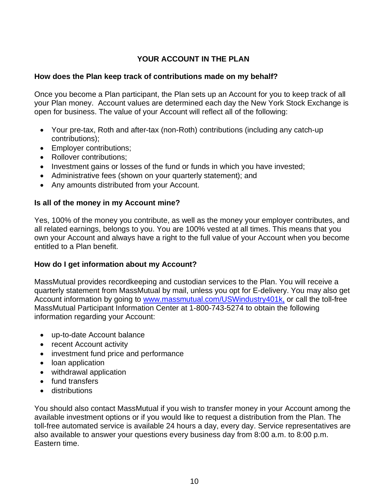## **YOUR ACCOUNT IN THE PLAN**

#### <span id="page-9-1"></span><span id="page-9-0"></span>**How does the Plan keep track of contributions made on my behalf?**

Once you become a Plan participant, the Plan sets up an Account for you to keep track of all your Plan money. Account values are determined each day the New York Stock Exchange is open for business. The value of your Account will reflect all of the following:

- Your pre-tax, Roth and after-tax (non-Roth) contributions (including any catch-up contributions);
- Employer contributions;
- Rollover contributions;
- Investment gains or losses of the fund or funds in which you have invested;
- Administrative fees (shown on your quarterly statement); and
- Any amounts distributed from your Account.

## <span id="page-9-2"></span>**Is all of the money in my Account mine?**

Yes, 100% of the money you contribute, as well as the money your employer contributes, and all related earnings, belongs to you. You are 100% vested at all times. This means that you own your Account and always have a right to the full value of your Account when you become entitled to a Plan benefit.

## <span id="page-9-3"></span>**How do I get information about my Account?**

MassMutual provides recordkeeping and custodian services to the Plan. You will receive a quarterly statement from MassMutual by mail, unless you opt for E-delivery. You may also get Account information by going to [www.massmutual.com/USWindustry401k,](http://www.massmutual.com/USWindustry401k) or call the toll-free MassMutual Participant Information Center at 1-800-743-5274 to obtain the following information regarding your Account:

- up-to-date Account balance
- recent Account activity
- investment fund price and performance
- loan application
- withdrawal application
- fund transfers
- distributions

You should also contact MassMutual if you wish to transfer money in your Account among the available investment options or if you would like to request a distribution from the Plan. The toll-free automated service is available 24 hours a day, every day. Service representatives are also available to answer your questions every business day from 8:00 a.m. to 8:00 p.m. Eastern time.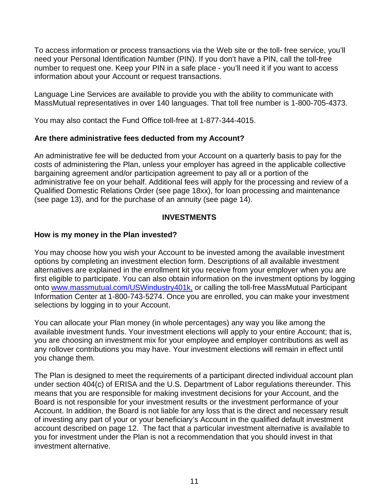To access information or process transactions via the Web site or the toll- free service, you'll need your Personal Identification Number (PIN). If you don't have a PIN, call the toll-free number to request one. Keep your PIN in a safe place - you'll need it if you want to access information about your Account or request transactions.

Language Line Services are available to provide you with the ability to communicate with MassMutual representatives in over 140 languages. That toll free number is 1-800-705-4373.

You may also contact the Fund Office toll-free at 1-877-344-4015.

## <span id="page-10-0"></span>**Are there administrative fees deducted from my Account?**

An administrative fee will be deducted from your Account on a quarterly basis to pay for the costs of administering the Plan, unless your employer has agreed in the applicable collective bargaining agreement and/or participation agreement to pay all or a portion of the administrative fee on your behalf. Additional fees will apply for the processing and review of a Qualified Domestic Relations Order (see page 18xx), for loan processing and maintenance (see page 13), and for the purchase of an annuity (see page 14).

## **INVESTMENTS**

## <span id="page-10-2"></span><span id="page-10-1"></span>**How is my money in the Plan invested?**

You may choose how you wish your Account to be invested among the available investment options by completing an investment election form. Descriptions of all available investment alternatives are explained in the enrollment kit you receive from your employer when you are first eligible to participate. You can also obtain information on the investment options by logging onto [www.massmutual.com/USWindustry401k,](http://www.massmutual.com/USWindustry401k,) or calling the toll-free MassMutual Participant Information Center at 1-800-743-5274. Once you are enrolled, you can make your investment selections by logging in to your Account.

You can allocate your Plan money (in whole percentages) any way you like among the available investment funds. Your investment elections will apply to your entire Account; that is, you are choosing an investment mix for your employee and employer contributions as well as any rollover contributions you may have. Your investment elections will remain in effect until you change them.

The Plan is designed to meet the requirements of a participant directed individual account plan under section 404(c) of ERISA and the U.S. Department of Labor regulations thereunder. This means that you are responsible for making investment decisions for your Account, and the Board is not responsible for your investment results or the investment performance of your Account. In addition, the Board is not liable for any loss that is the direct and necessary result of investing any part of your or your beneficiary's Account in the qualified default investment account described on page 12. The fact that a particular investment alternative is available to you for investment under the Plan is not a recommendation that you should invest in that investment alternative.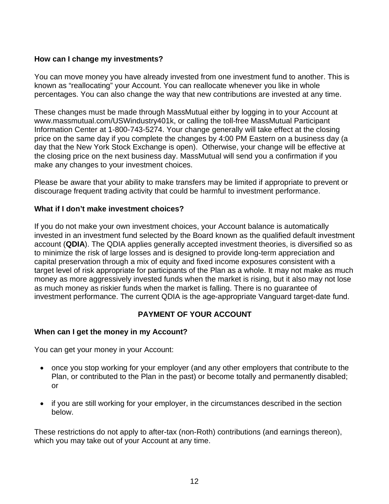## <span id="page-11-0"></span>**How can I change my investments?**

You can move money you have already invested from one investment fund to another. This is known as "reallocating" your Account. You can reallocate whenever you like in whole percentages. You can also change the way that new contributions are invested at any time.

These changes must be made through MassMutual either by logging in to your Account at [www.massmutual.com/USWindustry401k,](http://www.massmutual.com/USWindustry401k) or calling the toll-free MassMutual Participant Information Center at 1-800-743-5274. Your change generally will take effect at the closing price on the same day if you complete the changes by 4:00 PM Eastern on a business day (a day that the New York Stock Exchange is open). Otherwise, your change will be effective at the closing price on the next business day. MassMutual will send you a confirmation if you make any changes to your investment choices.

Please be aware that your ability to make transfers may be limited if appropriate to prevent or discourage frequent trading activity that could be harmful to investment performance.

#### <span id="page-11-1"></span>**What if I don't make investment choices?**

If you do not make your own investment choices, your Account balance is automatically invested in an investment fund selected by the Board known as the qualified default investment account (**QDIA**). The QDIA applies generally accepted investment theories, is diversified so as to minimize the risk of large losses and is designed to provide long-term appreciation and capital preservation through a mix of equity and fixed income exposures consistent with a target level of risk appropriate for participants of the Plan as a whole. It may not make as much money as more aggressively invested funds when the market is rising, but it also may not lose as much money as riskier funds when the market is falling. There is no guarantee of investment performance. The current QDIA is the age-appropriate Vanguard target-date fund.

## **PAYMENT OF YOUR ACCOUNT**

#### <span id="page-11-3"></span><span id="page-11-2"></span>**When can I get the money in my Account?**

You can get your money in your Account:

- once you stop working for your employer (and any other employers that contribute to the Plan, or contributed to the Plan in the past) or become totally and permanently disabled; or
- if you are still working for your employer, in the circumstances described in the section below.

These restrictions do not apply to after-tax (non-Roth) contributions (and earnings thereon), which you may take out of your Account at any time.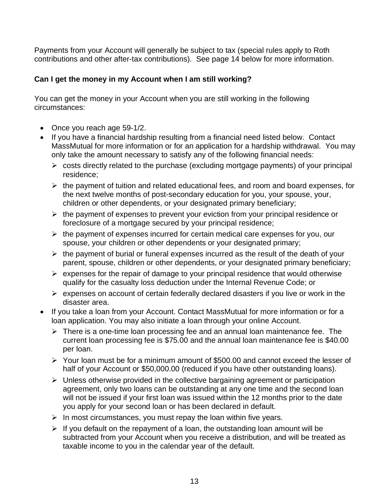Payments from your Account will generally be subject to tax (special rules apply to Roth contributions and other after-tax contributions). See page 14 below for more information.

## <span id="page-12-0"></span>**Can I get the money in my Account when I am still working?**

You can get the money in your Account when you are still working in the following circumstances:

- Once you reach age 59-1/2.
- If you have a financial hardship resulting from a financial need listed below. Contact MassMutual for more information or for an application for a hardship withdrawal. You may only take the amount necessary to satisfy any of the following financial needs:
	- $\triangleright$  costs directly related to the purchase (excluding mortgage payments) of your principal residence;
	- $\triangleright$  the payment of tuition and related educational fees, and room and board expenses, for the next twelve months of post-secondary education for you, your spouse, your, children or other dependents, or your designated primary beneficiary;
	- $\triangleright$  the payment of expenses to prevent your eviction from your principal residence or foreclosure of a mortgage secured by your principal residence;
	- $\triangleright$  the payment of expenses incurred for certain medical care expenses for you, our spouse, your children or other dependents or your designated primary;
	- $\triangleright$  the payment of burial or funeral expenses incurred as the result of the death of your parent, spouse, children or other dependents, or your designated primary beneficiary;
	- $\triangleright$  expenses for the repair of damage to your principal residence that would otherwise qualify for the casualty loss deduction under the Internal Revenue Code; or
	- $\triangleright$  expenses on account of certain federally declared disasters if you live or work in the disaster area.
- If you take a loan from your Account. Contact MassMutual for more information or for a loan application. You may also initiate a loan through your online Account.
	- $\triangleright$  There is a one-time loan processing fee and an annual loan maintenance fee. The current loan processing fee is \$75.00 and the annual loan maintenance fee is \$40.00 per loan.
	- Your loan must be for a minimum amount of \$500.00 and cannot exceed the lesser of half of your Account or \$50,000.00 (reduced if you have other outstanding loans).
	- $\triangleright$  Unless otherwise provided in the collective bargaining agreement or participation agreement, only two loans can be outstanding at any one time and the second loan will not be issued if your first loan was issued within the 12 months prior to the date you apply for your second loan or has been declared in default.
	- $\triangleright$  In most circumstances, you must repay the loan within five years.
	- $\triangleright$  If you default on the repayment of a loan, the outstanding loan amount will be subtracted from your Account when you receive a distribution, and will be treated as taxable income to you in the calendar year of the default.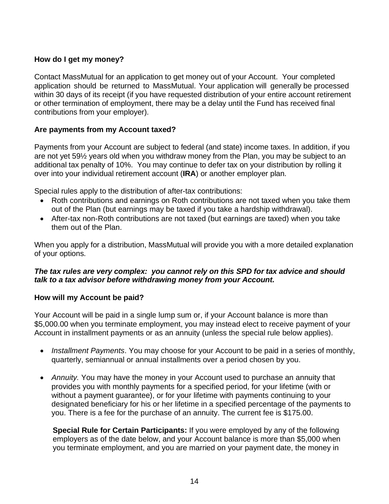## <span id="page-13-0"></span>**How do I get my money?**

Contact MassMutual for an application to get money out of your Account. Your completed application should be returned to MassMutual. Your application will generally be processed within 30 days of its receipt (if you have requested distribution of your entire account retirement or other termination of employment, there may be a delay until the Fund has received final contributions from your employer).

## <span id="page-13-1"></span>**Are payments from my Account taxed?**

Payments from your Account are subject to federal (and state) income taxes. In addition, if you are not yet 59½ years old when you withdraw money from the Plan, you may be subject to an additional tax penalty of 10%. You may continue to defer tax on your distribution by rolling it over into your individual retirement account (**IRA**) or another employer plan.

Special rules apply to the distribution of after-tax contributions:

- Roth contributions and earnings on Roth contributions are not taxed when you take them out of the Plan (but earnings may be taxed if you take a hardship withdrawal).
- After-tax non-Roth contributions are not taxed (but earnings are taxed) when you take them out of the Plan.

When you apply for a distribution, MassMutual will provide you with a more detailed explanation of your options.

### *The tax rules are very complex: you cannot rely on this SPD for tax advice and should talk to a tax advisor before withdrawing money from your Account.*

#### <span id="page-13-2"></span>**How will my Account be paid?**

Your Account will be paid in a single lump sum or, if your Account balance is more than \$5,000.00 when you terminate employment, you may instead elect to receive payment of your Account in installment payments or as an annuity (unless the special rule below applies).

- *Installment Payments*. You may choose for your Account to be paid in a series of monthly, quarterly, semiannual or annual installments over a period chosen by you.
- *Annuity.* You may have the money in your Account used to purchase an annuity that provides you with monthly payments for a specified period, for your lifetime (with or without a payment guarantee), or for your lifetime with payments continuing to your designated beneficiary for his or her lifetime in a specified percentage of the payments to you. There is a fee for the purchase of an annuity. The current fee is \$175.00.

**Special Rule for Certain Participants:** If you were employed by any of the following employers as of the date below, and your Account balance is more than \$5,000 when you terminate employment, and you are married on your payment date, the money in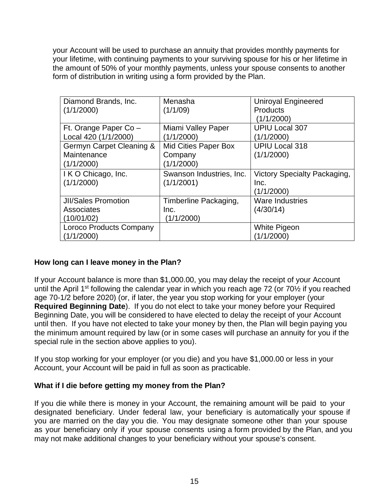your Account will be used to purchase an annuity that provides monthly payments for your lifetime, with continuing payments to your surviving spouse for his or her lifetime in the amount of 50% of your monthly payments, unless your spouse consents to another form of distribution in writing using a form provided by the Plan.

| Diamond Brands, Inc.       | Menasha                     | <b>Uniroyal Engineered</b>          |
|----------------------------|-----------------------------|-------------------------------------|
| (1/1/2000)                 | (1/1/09)                    | <b>Products</b>                     |
|                            |                             | (1/1/2000)                          |
| Ft. Orange Paper Co -      | Miami Valley Paper          | <b>UPIU Local 307</b>               |
| Local 420 (1/1/2000)       | (1/1/2000)                  | (1/1/2000)                          |
| Germyn Carpet Cleaning &   | <b>Mid Cities Paper Box</b> | <b>UPIU Local 318</b>               |
| Maintenance                | Company                     | (1/1/2000)                          |
| (1/1/2000)                 | (1/1/2000)                  |                                     |
| I K O Chicago, Inc.        | Swanson Industries, Inc.    | <b>Victory Specialty Packaging,</b> |
| (1/1/2000)                 | (1/1/2001)                  | Inc.                                |
|                            |                             | (1/1/2000)                          |
| <b>JII/Sales Promotion</b> | Timberline Packaging,       | <b>Ware Industries</b>              |
| Associates                 | Inc.                        | (4/30/14)                           |
| (10/01/02)                 | (1/1/2000)                  |                                     |
| Loroco Products Company    |                             | White Pigeon                        |
| (1/1/2000)                 |                             | (1/1/2000)                          |

## <span id="page-14-0"></span>**How long can I leave money in the Plan?**

If your Account balance is more than \$1,000.00, you may delay the receipt of your Account until the April 1<sup>st</sup> following the calendar year in which you reach age 72 (or 70<sup>1</sup>/<sub>2</sub> if you reached age 70-1/2 before 2020) (or, if later, the year you stop working for your employer (your **Required Beginning Date**). If you do not elect to take your money before your Required Beginning Date, you will be considered to have elected to delay the receipt of your Account until then. If you have not elected to take your money by then, the Plan will begin paying you the minimum amount required by law (or in some cases will purchase an annuity for you if the special rule in the section above applies to you).

If you stop working for your employer (or you die) and you have \$1,000.00 or less in your Account, your Account will be paid in full as soon as practicable.

#### <span id="page-14-1"></span>**What if I die before getting my money from the Plan?**

If you die while there is money in your Account, the remaining amount will be paid to your designated beneficiary. Under federal law, your beneficiary is automatically your spouse if you are married on the day you die. You may designate someone other than your spouse as your beneficiary only if your spouse consents using a form provided by the Plan, and you may not make additional changes to your beneficiary without your spouse's consent.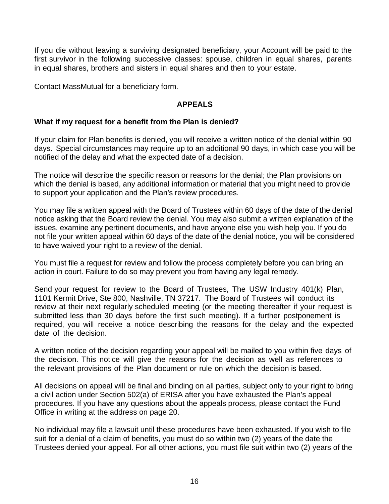If you die without leaving a surviving designated beneficiary, your Account will be paid to the first survivor in the following successive classes: spouse, children in equal shares, parents in equal shares, brothers and sisters in equal shares and then to your estate.

<span id="page-15-0"></span>Contact MassMutual for a beneficiary form.

## **APPEALS**

## <span id="page-15-1"></span>**What if my request for a benefit from the Plan is denied?**

If your claim for Plan benefits is denied, you will receive a written notice of the denial within 90 days. Special circumstances may require up to an additional 90 days, in which case you will be notified of the delay and what the expected date of a decision.

The notice will describe the specific reason or reasons for the denial; the Plan provisions on which the denial is based, any additional information or material that you might need to provide to support your application and the Plan's review procedures.

You may file a written appeal with the Board of Trustees within 60 days of the date of the denial notice asking that the Board review the denial. You may also submit a written explanation of the issues, examine any pertinent documents, and have anyone else you wish help you. If you do not file your written appeal within 60 days of the date of the denial notice, you will be considered to have waived your right to a review of the denial.

You must file a request for review and follow the process completely before you can bring an action in court. Failure to do so may prevent you from having any legal remedy.

Send your request for review to the Board of Trustees, The USW Industry 401(k) Plan, 1101 Kermit Drive, Ste 800, Nashville, TN 37217. The Board of Trustees will conduct its review at their next regularly scheduled meeting (or the meeting thereafter if your request is submitted less than 30 days before the first such meeting). If a further postponement is required, you will receive a notice describing the reasons for the delay and the expected date of the decision.

A written notice of the decision regarding your appeal will be mailed to you within five days of the decision. This notice will give the reasons for the decision as well as references to the relevant provisions of the Plan document or rule on which the decision is based.

All decisions on appeal will be final and binding on all parties, subject only to your right to bring a civil action under Section 502(a) of ERISA after you have exhausted the Plan's appeal procedures. If you have any questions about the appeals process, please contact the Fund Office in writing at the address on page 20.

No individual may file a lawsuit until these procedures have been exhausted. If you wish to file suit for a denial of a claim of benefits, you must do so within two (2) years of the date the Trustees denied your appeal. For all other actions, you must file suit within two (2) years of the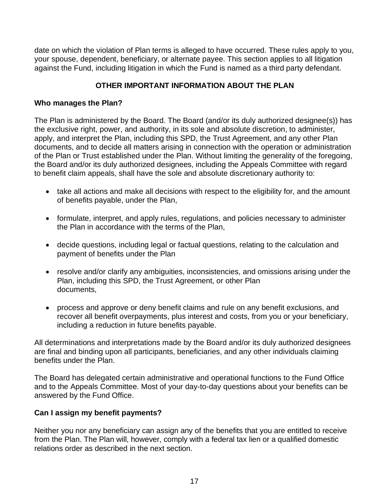date on which the violation of Plan terms is alleged to have occurred. These rules apply to you, your spouse, dependent, beneficiary, or alternate payee. This section applies to all litigation against the Fund, including litigation in which the Fund is named as a third party defendant.

## **OTHER IMPORTANT INFORMATION ABOUT THE PLAN**

## <span id="page-16-1"></span><span id="page-16-0"></span>**Who manages the Plan?**

The Plan is administered by the Board. The Board (and/or its duly authorized designee(s)) has the exclusive right, power, and authority, in its sole and absolute discretion, to administer, apply, and interpret the Plan, including this SPD, the Trust Agreement, and any other Plan documents, and to decide all matters arising in connection with the operation or administration of the Plan or Trust established under the Plan. Without limiting the generality of the foregoing, the Board and/or its duly authorized designees, including the Appeals Committee with regard to benefit claim appeals, shall have the sole and absolute discretionary authority to:

- take all actions and make all decisions with respect to the eligibility for, and the amount of benefits payable, under the Plan,
- formulate, interpret, and apply rules, regulations, and policies necessary to administer the Plan in accordance with the terms of the Plan,
- decide questions, including legal or factual questions, relating to the calculation and payment of benefits under the Plan
- resolve and/or clarify any ambiguities, inconsistencies, and omissions arising under the Plan, including this SPD, the Trust Agreement, or other Plan documents,
- process and approve or deny benefit claims and rule on any benefit exclusions, and recover all benefit overpayments, plus interest and costs, from you or your beneficiary, including a reduction in future benefits payable.

All determinations and interpretations made by the Board and/or its duly authorized designees are final and binding upon all participants, beneficiaries, and any other individuals claiming benefits under the Plan.

The Board has delegated certain administrative and operational functions to the Fund Office and to the Appeals Committee. Most of your day-to-day questions about your benefits can be answered by the Fund Office.

## <span id="page-16-2"></span>**Can I assign my benefit payments?**

Neither you nor any beneficiary can assign any of the benefits that you are entitled to receive from the Plan. The Plan will, however, comply with a federal tax lien or a qualified domestic relations order as described in the next section.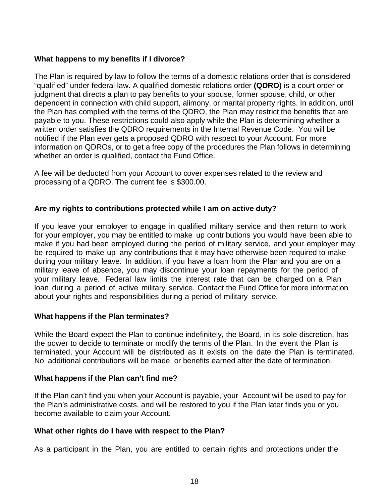### <span id="page-17-0"></span>**What happens to my benefits if I divorce?**

The Plan is required by law to follow the terms of a domestic relations order that is considered "qualified" under federal law. A qualified domestic relations order **(QDRO)** is a court order or judgment that directs a plan to pay benefits to your spouse, former spouse, child, or other dependent in connection with child support, alimony, or marital property rights. In addition, until the Plan has complied with the terms of the QDRO, the Plan may restrict the benefits that are payable to you. These restrictions could also apply while the Plan is determining whether a written order satisfies the QDRO requirements in the Internal Revenue Code. You will be notified if the Plan ever gets a proposed QDRO with respect to your Account. For more information on QDROs, or to get a free copy of the procedures the Plan follows in determining whether an order is qualified, contact the Fund Office.

A fee will be deducted from your Account to cover expenses related to the review and processing of a QDRO. The current fee is \$300.00.

#### <span id="page-17-1"></span>**Are my rights to contributions protected while I am on active duty?**

If you leave your employer to engage in qualified military service and then return to work for your employer, you may be entitled to make up contributions you would have been able to make if you had been employed during the period of military service, and your employer may be required to make up any contributions that it may have otherwise been required to make during your military leave. In addition, if you have a loan from the Plan and you are on a military leave of absence, you may discontinue your loan repayments for the period of your military leave. Federal law limits the interest rate that can be charged on a Plan loan during a period of active military service. Contact the Fund Office for more information about your rights and responsibilities during a period of military service.

#### <span id="page-17-2"></span>**What happens if the Plan terminates?**

While the Board expect the Plan to continue indefinitely, the Board, in its sole discretion, has the power to decide to terminate or modify the terms of the Plan. In the event the Plan is terminated, your Account will be distributed as it exists on the date the Plan is terminated. No additional contributions will be made, or benefits earned after the date of termination.

#### <span id="page-17-3"></span>**What happens if the Plan can't find me?**

If the Plan can't find you when your Account is payable, your Account will be used to pay for the Plan's administrative costs, and will be restored to you if the Plan later finds you or you become available to claim your Account.

#### <span id="page-17-4"></span>**What other rights do I have with respect to the Plan?**

As a participant in the Plan, you are entitled to certain rights and protections under the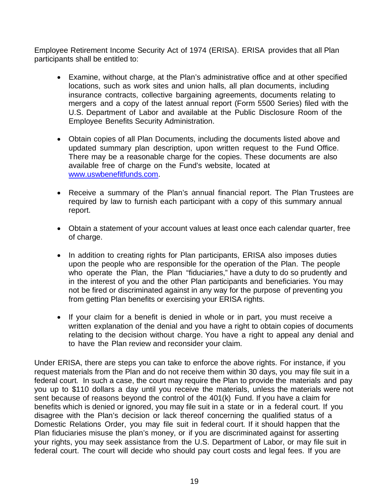Employee Retirement Income Security Act of 1974 (ERISA). ERISA provides that all Plan participants shall be entitled to:

- Examine, without charge, at the Plan's administrative office and at other specified locations, such as work sites and union halls, all plan documents, including insurance contracts, collective bargaining agreements, documents relating to mergers and a copy of the latest annual report (Form 5500 Series) filed with the U.S. Department of Labor and available at the Public Disclosure Room of the Employee Benefits Security Administration.
- Obtain copies of all Plan Documents, including the documents listed above and updated summary plan description, upon written request to the Fund Office. There may be a reasonable charge for the copies. These documents are also available free of charge on the Fund's website, located at [www.uswbenefitfunds.com.](http://www.uswbenefitfunds.com/)
- Receive a summary of the Plan's annual financial report. The Plan Trustees are required by law to furnish each participant with a copy of this summary annual report.
- Obtain a statement of your account values at least once each calendar quarter, free of charge.
- In addition to creating rights for Plan participants, ERISA also imposes duties upon the people who are responsible for the operation of the Plan. The people who operate the Plan, the Plan "fiduciaries," have a duty to do so prudently and in the interest of you and the other Plan participants and beneficiaries. You may not be fired or discriminated against in any way for the purpose of preventing you from getting Plan benefits or exercising your ERISA rights.
- If your claim for a benefit is denied in whole or in part, you must receive a written explanation of the denial and you have a right to obtain copies of documents relating to the decision without charge. You have a right to appeal any denial and to have the Plan review and reconsider your claim.

Under ERISA, there are steps you can take to enforce the above rights. For instance, if you request materials from the Plan and do not receive them within 30 days, you may file suit in a federal court. In such a case, the court may require the Plan to provide the materials and pay you up to \$110 dollars a day until you receive the materials, unless the materials were not sent because of reasons beyond the control of the 401(k) Fund. If you have a claim for benefits which is denied or ignored, you may file suit in a state or in a federal court. If you disagree with the Plan's decision or lack thereof concerning the qualified status of a Domestic Relations Order, you may file suit in federal court. If it should happen that the Plan fiduciaries misuse the plan's money, or if you are discriminated against for asserting your rights, you may seek assistance from the U.S. Department of Labor, or may file suit in federal court. The court will decide who should pay court costs and legal fees. If you are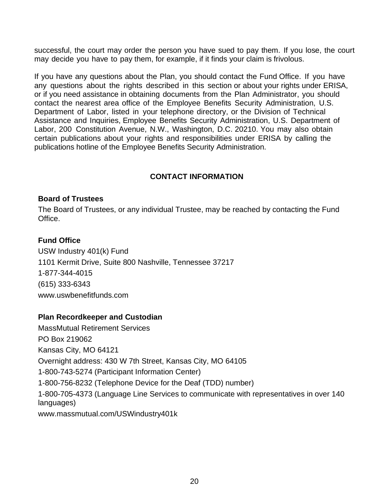successful, the court may order the person you have sued to pay them. If you lose, the court may decide you have to pay them, for example, if it finds your claim is frivolous.

If you have any questions about the Plan, you should contact the Fund Office. If you have any questions about the rights described in this section or about your rights under ERISA, or if you need assistance in obtaining documents from the Plan Administrator, you should contact the nearest area office of the Employee Benefits Security Administration, U.S. Department of Labor, listed in your telephone directory, or the Division of Technical Assistance and Inquiries, Employee Benefits Security Administration, U.S. Department of Labor, 200 Constitution Avenue, N.W., Washington, D.C. 20210. You may also obtain certain publications about your rights and responsibilities under ERISA by calling the publications hotline of the Employee Benefits Security Administration.

## **CONTACT INFORMATION**

### <span id="page-19-0"></span>**Board of Trustees**

The Board of Trustees, or any individual Trustee, may be reached by contacting the Fund Office.

### **Fund Office**

USW Industry 401(k) Fund 1101 Kermit Drive, Suite 800 Nashville, Tennessee 37217 1-877-344-4015 (615) 333-6343 www.uswbenefitfunds.com

#### **Plan Recordkeeper and Custodian**

<span id="page-19-1"></span>MassMutual Retirement Services PO Box 219062 Kansas City, MO 64121 Overnight address: 430 W 7th Street, Kansas City, MO 64105 1-800-743-5274 (Participant Information Center) 1-800-756-8232 (Telephone Device for the Deaf (TDD) number) 1-800-705-4373 (Language Line Services to communicate with representatives in over 140 languages) [www.massmutual.com/USWindustry401k](http://www.massmutual.com/USWindustry401k,)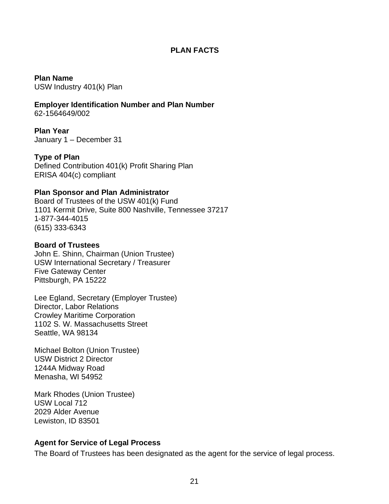#### **PLAN FACTS**

**Plan Name** USW Industry 401(k) Plan

**Employer Identification Number and Plan Number** 62-1564649/002

**Plan Year** January 1 – December 31

**Type of Plan** Defined Contribution 401(k) Profit Sharing Plan ERISA 404(c) compliant

#### **Plan Sponsor and Plan Administrator**

Board of Trustees of the USW 401(k) Fund 1101 Kermit Drive, Suite 800 Nashville, Tennessee 37217 1-877-344-4015 (615) 333-6343

#### **Board of Trustees**

John E. Shinn, Chairman (Union Trustee) USW International Secretary / Treasurer Five Gateway Center Pittsburgh, PA 15222

Lee Egland, Secretary (Employer Trustee) Director, Labor Relations Crowley Maritime Corporation 1102 S. W. Massachusetts Street Seattle, WA 98134

Michael Bolton (Union Trustee) USW District 2 Director 1244A Midway Road Menasha, WI 54952

Mark Rhodes (Union Trustee) USW Local 712 2029 Alder Avenue Lewiston, ID 83501

#### **Agent for Service of Legal Process**

The Board of Trustees has been designated as the agent for the service of legal process.